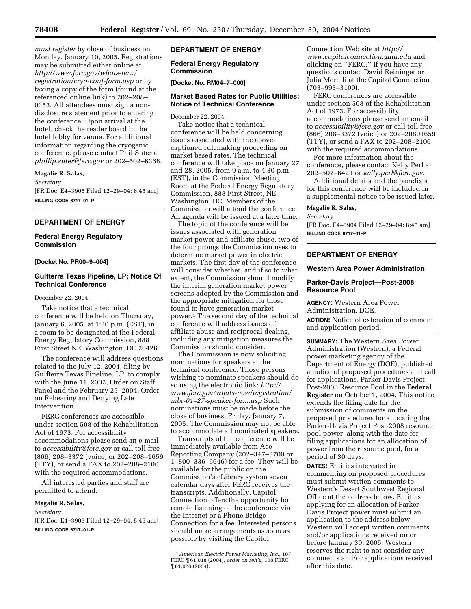*must register* by close of business on Monday, January 10, 2005. Registrations may be submitted either online at *http://www.ferc.gov/whats-new/ registration/cryo-conf-form.asp* or by faxing a copy of the form (found at the referenced online link) to 202–208– 0353. All attendees must sign a nondisclosure statement prior to entering the conference. Upon arrival at the hotel, check the reader board in the hotel lobby for venue. For additional information regarding the cryogenic conference, please contact Phil Suter at *phillip.suter@ferc.gov* or 202–502–6368.

#### **Magalie R. Salas,**

*Secretary.*

[FR Doc. E4–3905 Filed 12–29–04; 8:45 am] **BILLING CODE 6717–01–P**

## **DEPARTMENT OF ENERGY**

### **Federal Energy Regulatory Commission**

### **[Docket No. PR00–9–004]**

# **Gulfterra Texas Pipeline, LP; Notice Of Technical Conference**

December 22, 2004.

Take notice that a technical conference will be held on Thursday, January 6, 2005, at 1:30 p.m. (EST), in a room to be designated at the Federal Energy Regulatory Commission, 888 First Street NE, Washington, DC 20426.

The conference will address questions related to the July 12, 2004, filing by Gulfterra Texas Pipeline, LP, to comply with the June 11, 2002, Order on Staff Panel and the February 25, 2004, Order on Rehearing and Denying Late Intervention.

FERC conferences are accessible under section 508 of the Rehabilitation Act of 1973. For accessibility accommodations please send an e-mail to *accessibility@ferc.gov* or call toll free (866) 208–3372 (voice) or 202–208–1659 (TTY), or send a FAX to 202–208–2106 with the required accommodations.

All interested parties and staff are permitted to attend.

#### **Magalie R. Salas,**

*Secretary.*

[FR Doc. E4–3903 Filed 12–29–04; 8:45 am] **BILLING CODE 6717–01–P**

## **DEPARTMENT OF ENERGY**

### **Federal Energy Regulatory Commission**

**[Docket No. RM04–7–000]** 

### **Market Based Rates for Public Utilities; Notice of Technical Conference**

December 22, 2004.

Take notice that a technical conference will be held concerning issues associated with the abovecaptioned rulemaking proceeding on market based rates. The technical conference will take place on January 27 and 28, 2005, from 9 a.m. to 4:30 p.m. (EST), in the Commission Meeting Room at the Federal Energy Regulatory Commission, 888 First Street, NE., Washington, DC. Members of the Commission will attend the conference. An agenda will be issued at a later time.

The topic of the conference will be issues associated with generation market power and affiliate abuse, two of the four prongs the Commission uses to determine market power in electric markets. The first day of the conference will consider whether, and if so to what extent, the Commission should modify the interim generation market power screens adopted by the Commission and the appropriate mitigation for those found to have generation market power.1 The second day of the technical conference will address issues of affiliate abuse and reciprocal dealing, including any mitigation measures the Commission should consider.

The Commission is now soliciting nominations for speakers at the technical conference. Those persons wishing to nominate speakers should do so using the electronic link: *http:// www.ferc.gov/whats-new/registration/ mbr-01–27-speaker-form.asp* Such nominations must be made before the close of business, Friday, January 7, 2005. The Commission may not be able to accommodate all nominated speakers.

Transcripts of the conference will be immediately available from Ace Reporting Company (202–347–3700 or 1–800–336–6646) for a fee. They will be available for the public on the Commission's eLibrary system seven calendar days after FERC receives the transcripts. Additionally, Capitol Connection offers the opportunity for remote listening of the conference via the Internet or a Phone Bridge Connection for a fee. Interested persons should make arrangements as soon as possible by visiting the Capitol

Connection Web site at *http:// www.capitolconnection.gmu.edu* and clicking on ''FERC.'' If you have any questions contact David Reininger or Julia Morelli at the Capitol Connection (703–993–3100).

FERC conferences are accessible under section 508 of the Rehabilitation Act of 1973. For accessibility accommodations please send an email to *accessibility@ferc.gov* or call toll free (866) 208–3372 (voice) or 202–20801659 (TTY), or send a FAX to 202–208–2106 with the required accommodations.

For more information about the conference, please contact Kelly Perl at 202–502–6421 or *kelly.perl@ferc.gov*.

Additional details and the panelists for this conference will be included in a supplemental notice to be issued later.

#### **Magalie R. Salas,**

*Secretary.*

[FR Doc. E4–3904 Filed 12–29–04; 8:45 am] **BILLING CODE 6717–01–P**

# **DEPARTMENT OF ENERGY**

#### **Western Area Power Administration**

### **Parker-Davis Project—Post-2008 Resource Pool**

**AGENCY:** Western Area Power Administration, DOE.

**ACTION:** Notice of extension of comment and application period.

**SUMMARY:** The Western Area Power Administration (Western), a Federal power marketing agency of the Department of Energy (DOE), published a notice of proposed procedures and call for applications, Parker-Davis Project— Post-2008 Resource Pool in the **Federal Register** on October 1, 2004. This notice extends the filing date for the submission of comments on the proposed procedures for allocating the Parker-Davis Project Post-2008 resource pool power, along with the date for filing applications for an allocation of power from the resource pool, for a period of 30 days.

**DATES:** Entities interested in commenting on proposed procedures must submit written comments to Western's Desert Southwest Regional Office at the address below. Entities applying for an allocation of Parker-Davis Project power must submit an application to the address below. Western will accept written comments and/or applications received on or before January 30, 2005. Western reserves the right to not consider any comments and/or applications received after this date.

<sup>1</sup>*American Electric Power Marketing, Inc.*, 107 FERC ¶ 61,018 (2004), *order on reh'g*, 108 FERC ¶ 61,026 (2004).